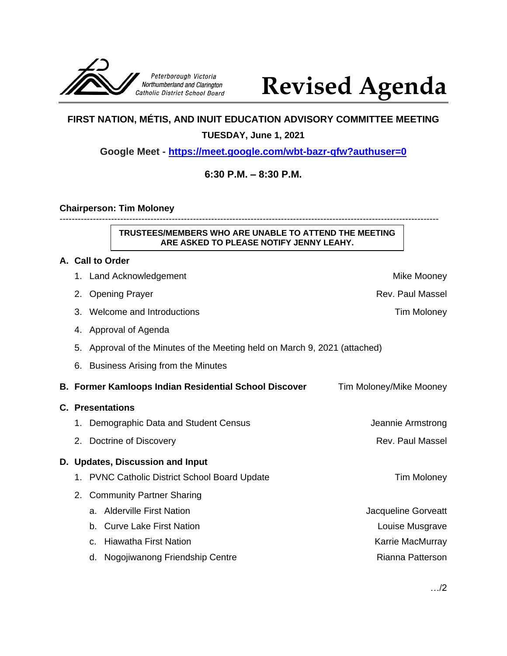

# **Revised Agenda**

## **FIRST NATION, MÉTIS, AND INUIT EDUCATION ADVISORY COMMITTEE MEETING**

#### **TUESDAY, June 1, 2021**

**Google Meet - <https://meet.google.com/wbt-bazr-qfw?authuser=0>**

### **6:30 P.M. – 8:30 P.M.**

#### **Chairperson: Tim Moloney**

-----------------------------------------------------------------------------------------------------------------------------

**TRUSTEES/MEMBERS WHO ARE UNABLE TO ATTEND THE MEETING ARE ASKED TO PLEASE NOTIFY JENNY LEAHY.**

#### **A. Call to Order**

|                         | 1. Land Acknowledgement                                                 | Mike Mooney             |  |
|-------------------------|-------------------------------------------------------------------------|-------------------------|--|
|                         | 2. Opening Prayer                                                       | Rev. Paul Massel        |  |
| 3.                      | Welcome and Introductions                                               | Tim Moloney             |  |
| 4.                      | Approval of Agenda                                                      |                         |  |
| 5.                      | Approval of the Minutes of the Meeting held on March 9, 2021 (attached) |                         |  |
| 6.                      | <b>Business Arising from the Minutes</b>                                |                         |  |
|                         | B. Former Kamloops Indian Residential School Discover                   | Tim Moloney/Mike Mooney |  |
| <b>C. Presentations</b> |                                                                         |                         |  |
|                         | 1. Demographic Data and Student Census                                  | Jeannie Armstrong       |  |
| 2.                      | Doctrine of Discovery                                                   | Rev. Paul Massel        |  |
|                         | D. Updates, Discussion and Input                                        |                         |  |
| 1.                      | <b>PVNC Catholic District School Board Update</b>                       | <b>Tim Moloney</b>      |  |
| 2.                      | <b>Community Partner Sharing</b>                                        |                         |  |
|                         | <b>Alderville First Nation</b><br>a.                                    | Jacqueline Gorveatt     |  |
|                         | <b>Curve Lake First Nation</b><br>b.                                    | Louise Musgrave         |  |
|                         | <b>Hiawatha First Nation</b><br>$C_{\cdot}$                             | Karrie MacMurray        |  |
|                         | Nogojiwanong Friendship Centre<br>d.                                    | Rianna Patterson        |  |